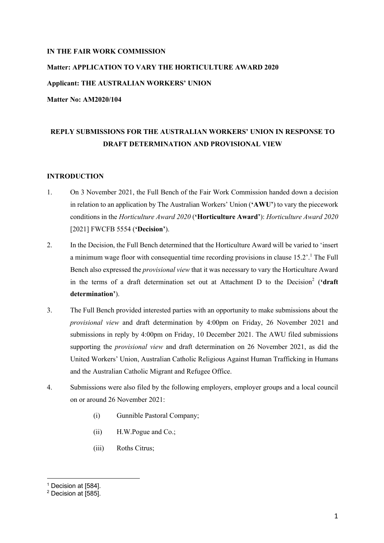#### **IN THE FAIR WORK COMMISSION**

**Matter: APPLICATION TO VARY THE HORTICULTURE AWARD 2020**

**Applicant: THE AUSTRALIAN WORKERS' UNION**

**Matter No: AM2020/104**

# **REPLY SUBMISSIONS FOR THE AUSTRALIAN WORKERS' UNION IN RESPONSE TO DRAFT DETERMINATION AND PROVISIONAL VIEW**

#### **INTRODUCTION**

- 1. On 3 November 2021, the Full Bench of the Fair Work Commission handed down a decision in relation to an application by The Australian Workers' Union (**'AWU'**) to vary the piecework conditions in the *Horticulture Award 2020* (**'Horticulture Award'**): *Horticulture Award 2020*  [2021] FWCFB 5554 (**'Decision'**).
- 2. In the Decision, the Full Bench determined that the Horticulture Award will be varied to 'insert a minimum wage floor with consequential time recording provisions in clause  $15.2$ <sup> $\cdot$ </sup>.<sup>1</sup> The Full Bench also expressed the *provisional view* that it was necessary to vary the Horticulture Award in the terms of a draft determination set out at Attachment D to the Decision<sup>2</sup> ('draft **determination'**).
- 3. The Full Bench provided interested parties with an opportunity to make submissions about the *provisional view* and draft determination by 4:00pm on Friday, 26 November 2021 and submissions in reply by 4:00pm on Friday, 10 December 2021. The AWU filed submissions supporting the *provisional view* and draft determination on 26 November 2021, as did the United Workers' Union, Australian Catholic Religious Against Human Trafficking in Humans and the Australian Catholic Migrant and Refugee Office.
- 4. Submissions were also filed by the following employers, employer groups and a local council on or around 26 November 2021:
	- (i) Gunnible Pastoral Company;
	- (ii) H.W.Pogue and Co.;
	- (iii) Roths Citrus;

<sup>&</sup>lt;sup>1</sup> Decision at [584].

<sup>2</sup> Decision at [585].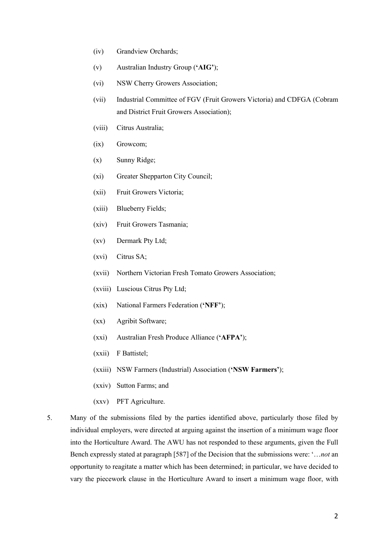- (iv) Grandview Orchards;
- (v) Australian Industry Group (**'AIG'**);
- (vi) NSW Cherry Growers Association;
- (vii) Industrial Committee of FGV (Fruit Growers Victoria) and CDFGA (Cobram and District Fruit Growers Association);
- (viii) Citrus Australia;
- (ix) Growcom;
- (x) Sunny Ridge;
- (xi) Greater Shepparton City Council;
- (xii) Fruit Growers Victoria;
- (xiii) Blueberry Fields;
- (xiv) Fruit Growers Tasmania;
- (xv) Dermark Pty Ltd;
- (xvi) Citrus SA;
- (xvii) Northern Victorian Fresh Tomato Growers Association;
- (xviii) Luscious Citrus Pty Ltd;
- (xix) National Farmers Federation (**'NFF'**);
- (xx) Agribit Software;
- (xxi) Australian Fresh Produce Alliance (**'AFPA'**);
- (xxii) F Battistel;
- (xxiii) NSW Farmers (Industrial) Association (**'NSW Farmers'**);
- (xxiv) Sutton Farms; and
- (xxv) PFT Agriculture.
- 5. Many of the submissions filed by the parties identified above, particularly those filed by individual employers, were directed at arguing against the insertion of a minimum wage floor into the Horticulture Award. The AWU has not responded to these arguments, given the Full Bench expressly stated at paragraph [587] of the Decision that the submissions were: '…*not* an opportunity to reagitate a matter which has been determined; in particular, we have decided to vary the piecework clause in the Horticulture Award to insert a minimum wage floor, with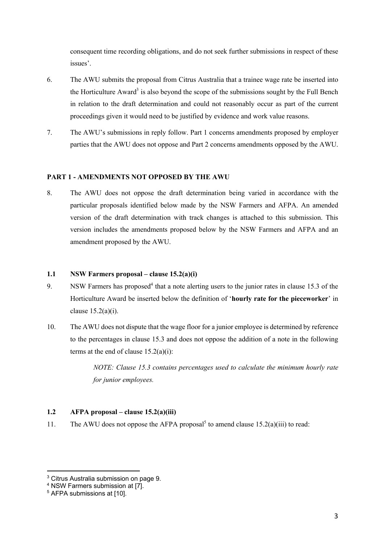consequent time recording obligations, and do not seek further submissions in respect of these issues'.

- 6. The AWU submits the proposal from Citrus Australia that a trainee wage rate be inserted into the Horticulture Award<sup>3</sup> is also beyond the scope of the submissions sought by the Full Bench in relation to the draft determination and could not reasonably occur as part of the current proceedings given it would need to be justified by evidence and work value reasons.
- 7. The AWU's submissions in reply follow. Part 1 concerns amendments proposed by employer parties that the AWU does not oppose and Part 2 concerns amendments opposed by the AWU.

#### **PART 1 - AMENDMENTS NOT OPPOSED BY THE AWU**

8. The AWU does not oppose the draft determination being varied in accordance with the particular proposals identified below made by the NSW Farmers and AFPA. An amended version of the draft determination with track changes is attached to this submission. This version includes the amendments proposed below by the NSW Farmers and AFPA and an amendment proposed by the AWU.

#### **1.1 NSW Farmers proposal – clause 15.2(a)(i)**

- 9. NSW Farmers has proposed<sup>4</sup> that a note alerting users to the junior rates in clause 15.3 of the Horticulture Award be inserted below the definition of '**hourly rate for the pieceworker**' in clause  $15.2(a)(i)$ .
- 10. The AWU does not dispute that the wage floor for a junior employee is determined by reference to the percentages in clause 15.3 and does not oppose the addition of a note in the following terms at the end of clause  $15.2(a)(i)$ :

*NOTE: Clause 15.3 contains percentages used to calculate the minimum hourly rate for junior employees.* 

#### **1.2 AFPA proposal – clause 15.2(a)(iii)**

11. The AWU does not oppose the AFPA proposal<sup>5</sup> to amend clause  $15.2(a)(iii)$  to read:

<sup>3</sup> Citrus Australia submission on page 9.

<sup>4</sup> NSW Farmers submission at [7].

<sup>5</sup> AFPA submissions at [10].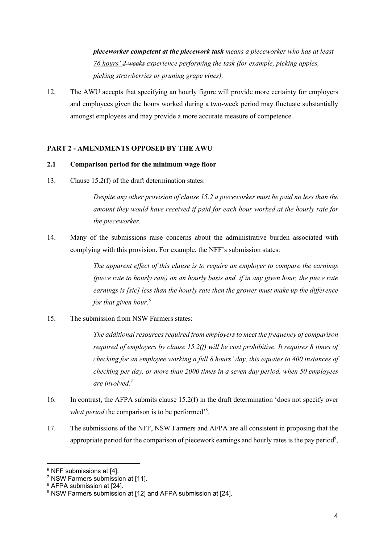*pieceworker competent at the piecework task means a pieceworker who has at least 76 hours' 2 weeks experience performing the task (for example, picking apples, picking strawberries or pruning grape vines);*

12. The AWU accepts that specifying an hourly figure will provide more certainty for employers and employees given the hours worked during a two-week period may fluctuate substantially amongst employees and may provide a more accurate measure of competence.

#### **PART 2 - AMENDMENTS OPPOSED BY THE AWU**

#### **2.1 Comparison period for the minimum wage floor**

13. Clause 15.2(f) of the draft determination states:

*Despite any other provision of clause 15.2 a pieceworker must be paid no less than the amount they would have received if paid for each hour worked at the hourly rate for the pieceworker.* 

14. Many of the submissions raise concerns about the administrative burden associated with complying with this provision. For example, the NFF's submission states:

> *The apparent effect of this clause is to require an employer to compare the earnings (piece rate to hourly rate) on an hourly basis and, if in any given hour, the piece rate earnings is [sic] less than the hourly rate then the grower must make up the difference for that given hour.6*

15. The submission from NSW Farmers states:

*The additional resources required from employers to meet the frequency of comparison required of employers by clause 15.2(f) will be cost prohibitive. It requires 8 times of checking for an employee working a full 8 hours' day, this equates to 400 instances of checking per day, or more than 2000 times in a seven day period, when 50 employees are involved.7*

- 16. In contrast, the AFPA submits clause 15.2(f) in the draft determination 'does not specify over what period the comparison is to be performed<sup>'8</sup>.
- 17. The submissions of the NFF, NSW Farmers and AFPA are all consistent in proposing that the appropriate period for the comparison of piecework earnings and hourly rates is the pay period<sup>9</sup>,

<sup>6</sup> NFF submissions at [4].

<sup>7</sup> NSW Farmers submission at [11].

<sup>8</sup> AFPA submission at [24].

<sup>&</sup>lt;sup>9</sup> NSW Farmers submission at [12] and AFPA submission at [24].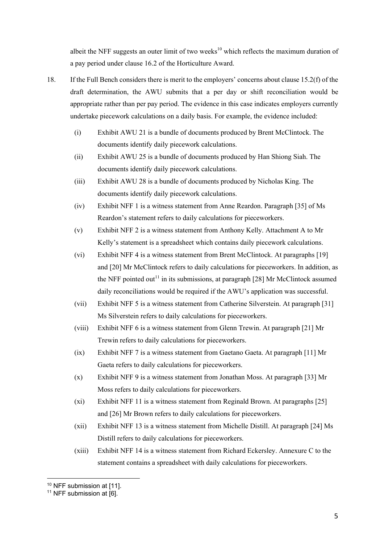albeit the NFF suggests an outer limit of two weeks<sup>10</sup> which reflects the maximum duration of a pay period under clause 16.2 of the Horticulture Award.

- 18. If the Full Bench considers there is merit to the employers' concerns about clause 15.2(f) of the draft determination, the AWU submits that a per day or shift reconciliation would be appropriate rather than per pay period. The evidence in this case indicates employers currently undertake piecework calculations on a daily basis. For example, the evidence included:
	- (i) Exhibit AWU 21 is a bundle of documents produced by Brent McClintock. The documents identify daily piecework calculations.
	- (ii) Exhibit AWU 25 is a bundle of documents produced by Han Shiong Siah. The documents identify daily piecework calculations.
	- (iii) Exhibit AWU 28 is a bundle of documents produced by Nicholas King. The documents identify daily piecework calculations.
	- (iv) Exhibit NFF 1 is a witness statement from Anne Reardon. Paragraph [35] of Ms Reardon's statement refers to daily calculations for pieceworkers.
	- (v) Exhibit NFF 2 is a witness statement from Anthony Kelly. Attachment A to Mr Kelly's statement is a spreadsheet which contains daily piecework calculations.
	- (vi) Exhibit NFF 4 is a witness statement from Brent McClintock. At paragraphs [19] and [20] Mr McClintock refers to daily calculations for pieceworkers. In addition, as the NFF pointed out<sup>11</sup> in its submissions, at paragraph [28] Mr McClintock assumed daily reconciliations would be required if the AWU's application was successful.
	- (vii) Exhibit NFF 5 is a witness statement from Catherine Silverstein. At paragraph [31] Ms Silverstein refers to daily calculations for pieceworkers.
	- (viii) Exhibit NFF 6 is a witness statement from Glenn Trewin. At paragraph [21] Mr Trewin refers to daily calculations for pieceworkers.
	- (ix) Exhibit NFF 7 is a witness statement from Gaetano Gaeta. At paragraph [11] Mr Gaeta refers to daily calculations for pieceworkers.
	- (x) Exhibit NFF 9 is a witness statement from Jonathan Moss. At paragraph [33] Mr Moss refers to daily calculations for pieceworkers.
	- (xi) Exhibit NFF 11 is a witness statement from Reginald Brown. At paragraphs [25] and [26] Mr Brown refers to daily calculations for pieceworkers.
	- (xii) Exhibit NFF 13 is a witness statement from Michelle Distill. At paragraph [24] Ms Distill refers to daily calculations for pieceworkers.
	- (xiii) Exhibit NFF 14 is a witness statement from Richard Eckersley. Annexure C to the statement contains a spreadsheet with daily calculations for pieceworkers.

<sup>&</sup>lt;sup>10</sup> NFF submission at [11].

 $11$  NFF submission at  $\overline{161}$ .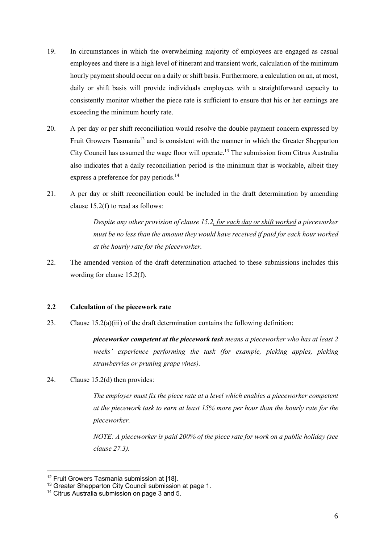- 19. In circumstances in which the overwhelming majority of employees are engaged as casual employees and there is a high level of itinerant and transient work, calculation of the minimum hourly payment should occur on a daily or shift basis. Furthermore, a calculation on an, at most, daily or shift basis will provide individuals employees with a straightforward capacity to consistently monitor whether the piece rate is sufficient to ensure that his or her earnings are exceeding the minimum hourly rate.
- 20. A per day or per shift reconciliation would resolve the double payment concern expressed by Fruit Growers Tasmania<sup>12</sup> and is consistent with the manner in which the Greater Shepparton City Council has assumed the wage floor will operate.<sup>13</sup> The submission from Citrus Australia also indicates that a daily reconciliation period is the minimum that is workable, albeit they express a preference for pay periods.<sup>14</sup>
- 21. A per day or shift reconciliation could be included in the draft determination by amending clause 15.2(f) to read as follows:

*Despite any other provision of clause 15.2, for each day or shift worked a pieceworker must be no less than the amount they would have received if paid for each hour worked at the hourly rate for the pieceworker.*

22. The amended version of the draft determination attached to these submissions includes this wording for clause 15.2(f).

#### **2.2 Calculation of the piecework rate**

23. Clause  $15.2(a)(iii)$  of the draft determination contains the following definition:

*pieceworker competent at the piecework task means a pieceworker who has at least 2 weeks' experience performing the task (for example, picking apples, picking strawberries or pruning grape vines).*

24. Clause 15.2(d) then provides:

*The employer must fix the piece rate at a level which enables a pieceworker competent at the piecework task to earn at least 15% more per hour than the hourly rate for the pieceworker.* 

*NOTE: A pieceworker is paid 200% of the piece rate for work on a public holiday (see clause 27.3).* 

<sup>&</sup>lt;sup>12</sup> Fruit Growers Tasmania submission at [18].

<sup>&</sup>lt;sup>13</sup> Greater Shepparton City Council submission at page 1.

<sup>&</sup>lt;sup>14</sup> Citrus Australia submission on page 3 and 5.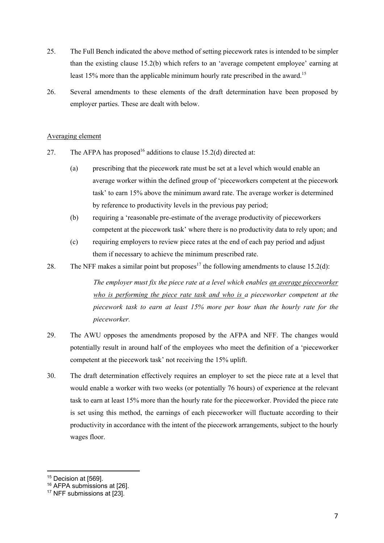- 25. The Full Bench indicated the above method of setting piecework rates is intended to be simpler than the existing clause 15.2(b) which refers to an 'average competent employee' earning at least 15% more than the applicable minimum hourly rate prescribed in the award.<sup>15</sup>
- 26. Several amendments to these elements of the draft determination have been proposed by employer parties. These are dealt with below.

#### Averaging element

- 27. The AFPA has proposed<sup>16</sup> additions to clause 15.2(d) directed at:
	- (a) prescribing that the piecework rate must be set at a level which would enable an average worker within the defined group of 'pieceworkers competent at the piecework task' to earn 15% above the minimum award rate. The average worker is determined by reference to productivity levels in the previous pay period;
	- (b) requiring a 'reasonable pre-estimate of the average productivity of pieceworkers competent at the piecework task' where there is no productivity data to rely upon; and
	- (c) requiring employers to review piece rates at the end of each pay period and adjust them if necessary to achieve the minimum prescribed rate.
- 28. The NFF makes a similar point but proposes<sup>17</sup> the following amendments to clause 15.2(d):

*The employer must fix the piece rate at a level which enables an average pieceworker who is performing the piece rate task and who is a pieceworker competent at the piecework task to earn at least 15% more per hour than the hourly rate for the pieceworker.* 

- 29. The AWU opposes the amendments proposed by the AFPA and NFF. The changes would potentially result in around half of the employees who meet the definition of a 'pieceworker competent at the piecework task' not receiving the 15% uplift.
- 30. The draft determination effectively requires an employer to set the piece rate at a level that would enable a worker with two weeks (or potentially 76 hours) of experience at the relevant task to earn at least 15% more than the hourly rate for the pieceworker. Provided the piece rate is set using this method, the earnings of each pieceworker will fluctuate according to their productivity in accordance with the intent of the piecework arrangements, subject to the hourly wages floor.

<sup>&</sup>lt;sup>15</sup> Decision at [569].

<sup>16</sup> AFPA submissions at [26].

<sup>&</sup>lt;sup>17</sup> NFF submissions at [23].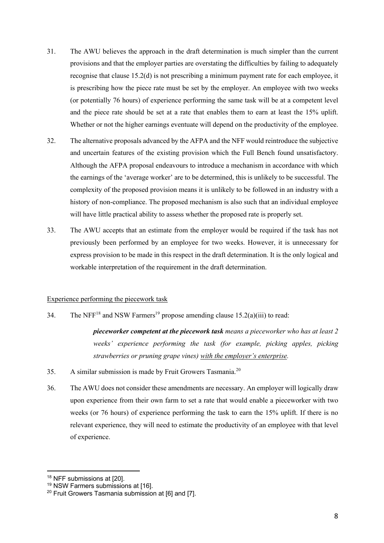- 31. The AWU believes the approach in the draft determination is much simpler than the current provisions and that the employer parties are overstating the difficulties by failing to adequately recognise that clause 15.2(d) is not prescribing a minimum payment rate for each employee, it is prescribing how the piece rate must be set by the employer. An employee with two weeks (or potentially 76 hours) of experience performing the same task will be at a competent level and the piece rate should be set at a rate that enables them to earn at least the 15% uplift. Whether or not the higher earnings eventuate will depend on the productivity of the employee.
- 32. The alternative proposals advanced by the AFPA and the NFF would reintroduce the subjective and uncertain features of the existing provision which the Full Bench found unsatisfactory. Although the AFPA proposal endeavours to introduce a mechanism in accordance with which the earnings of the 'average worker' are to be determined, this is unlikely to be successful. The complexity of the proposed provision means it is unlikely to be followed in an industry with a history of non-compliance. The proposed mechanism is also such that an individual employee will have little practical ability to assess whether the proposed rate is properly set.
- 33. The AWU accepts that an estimate from the employer would be required if the task has not previously been performed by an employee for two weeks. However, it is unnecessary for express provision to be made in this respect in the draft determination. It is the only logical and workable interpretation of the requirement in the draft determination.

#### Experience performing the piecework task

34. The NFF<sup>18</sup> and NSW Farmers<sup>19</sup> propose amending clause  $15.2(a)(iii)$  to read:

*pieceworker competent at the piecework task means a pieceworker who has at least 2 weeks' experience performing the task (for example, picking apples, picking strawberries or pruning grape vines) with the employer's enterprise.*

- 35. A similar submission is made by Fruit Growers Tasmania.<sup>20</sup>
- 36. The AWU does not consider these amendments are necessary. An employer will logically draw upon experience from their own farm to set a rate that would enable a pieceworker with two weeks (or 76 hours) of experience performing the task to earn the 15% uplift. If there is no relevant experience, they will need to estimate the productivity of an employee with that level of experience.

<sup>&</sup>lt;sup>18</sup> NFF submissions at [20].

<sup>19</sup> NSW Farmers submissions at [16].

<sup>20</sup> Fruit Growers Tasmania submission at [6] and [7].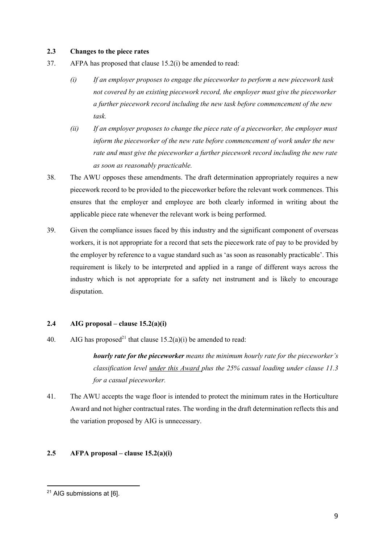#### **2.3 Changes to the piece rates**

- 37. AFPA has proposed that clause 15.2(i) be amended to read:
	- *(i) If an employer proposes to engage the pieceworker to perform a new piecework task not covered by an existing piecework record, the employer must give the pieceworker a further piecework record including the new task before commencement of the new task.*
	- *(ii) If an employer proposes to change the piece rate of a pieceworker, the employer must inform the pieceworker of the new rate before commencement of work under the new rate and must give the pieceworker a further piecework record including the new rate as soon as reasonably practicable.*
- 38. The AWU opposes these amendments. The draft determination appropriately requires a new piecework record to be provided to the pieceworker before the relevant work commences. This ensures that the employer and employee are both clearly informed in writing about the applicable piece rate whenever the relevant work is being performed.
- 39. Given the compliance issues faced by this industry and the significant component of overseas workers, it is not appropriate for a record that sets the piecework rate of pay to be provided by the employer by reference to a vague standard such as 'as soon as reasonably practicable'. This requirement is likely to be interpreted and applied in a range of different ways across the industry which is not appropriate for a safety net instrument and is likely to encourage disputation.

#### **2.4 AIG proposal – clause 15.2(a)(i)**

40. AIG has proposed<sup>21</sup> that clause  $15.2(a)(i)$  be amended to read:

*hourly rate for the pieceworker means the minimum hourly rate for the pieceworker's classification level under this Award plus the 25% casual loading under clause 11.3 for a casual pieceworker.*

41. The AWU accepts the wage floor is intended to protect the minimum rates in the Horticulture Award and not higher contractual rates. The wording in the draft determination reflects this and the variation proposed by AIG is unnecessary.

#### **2.5 AFPA proposal – clause 15.2(a)(i)**

<sup>21</sup> AIG submissions at [6].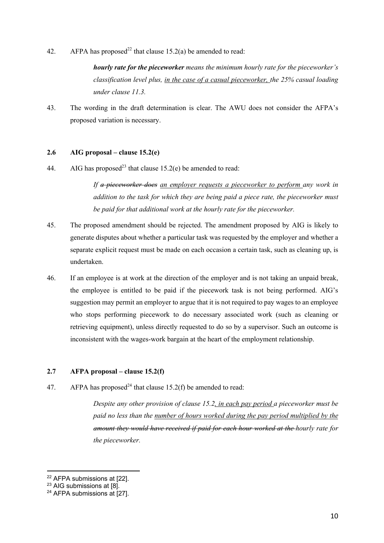42. AFPA has proposed<sup>22</sup> that clause 15.2(a) be amended to read:

*hourly rate for the pieceworker means the minimum hourly rate for the pieceworker's classification level plus, in the case of a casual pieceworker, the 25% casual loading under clause 11.3.* 

43. The wording in the draft determination is clear. The AWU does not consider the AFPA's proposed variation is necessary.

#### **2.6 AIG proposal – clause 15.2(e)**

44. AIG has proposed<sup>23</sup> that clause 15.2(e) be amended to read:

*If a pieceworker does an employer requests a pieceworker to perform any work in addition to the task for which they are being paid a piece rate, the pieceworker must be paid for that additional work at the hourly rate for the pieceworker.* 

- 45. The proposed amendment should be rejected. The amendment proposed by AIG is likely to generate disputes about whether a particular task was requested by the employer and whether a separate explicit request must be made on each occasion a certain task, such as cleaning up, is undertaken.
- 46. If an employee is at work at the direction of the employer and is not taking an unpaid break, the employee is entitled to be paid if the piecework task is not being performed. AIG's suggestion may permit an employer to argue that it is not required to pay wages to an employee who stops performing piecework to do necessary associated work (such as cleaning or retrieving equipment), unless directly requested to do so by a supervisor. Such an outcome is inconsistent with the wages-work bargain at the heart of the employment relationship.

#### **2.7 AFPA proposal – clause 15.2(f)**

47. AFPA has proposed<sup>24</sup> that clause 15.2(f) be amended to read:

*Despite any other provision of clause 15.2, in each pay period a pieceworker must be paid no less than the number of hours worked during the pay period multiplied by the amount they would have received if paid for each hour worked at the hourly rate for the pieceworker.*

<sup>22</sup> AFPA submissions at [22].

<sup>&</sup>lt;sup>23</sup> AIG submissions at [8].

<sup>&</sup>lt;sup>24</sup> AFPA submissions at [27].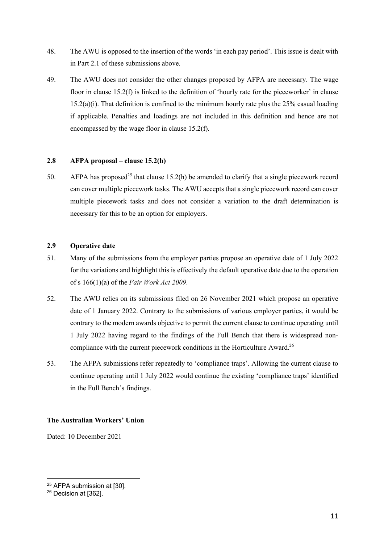- 48. The AWU is opposed to the insertion of the words 'in each pay period'. This issue is dealt with in Part 2.1 of these submissions above.
- 49. The AWU does not consider the other changes proposed by AFPA are necessary. The wage floor in clause 15.2(f) is linked to the definition of 'hourly rate for the pieceworker' in clause  $15.2(a)(i)$ . That definition is confined to the minimum hourly rate plus the 25% casual loading if applicable. Penalties and loadings are not included in this definition and hence are not encompassed by the wage floor in clause 15.2(f).

#### **2.8 AFPA proposal – clause 15.2(h)**

50. AFPA has proposed<sup>25</sup> that clause 15.2(h) be amended to clarify that a single piecework record can cover multiple piecework tasks. The AWU accepts that a single piecework record can cover multiple piecework tasks and does not consider a variation to the draft determination is necessary for this to be an option for employers.

#### **2.9 Operative date**

- 51. Many of the submissions from the employer parties propose an operative date of 1 July 2022 for the variations and highlight this is effectively the default operative date due to the operation of s 166(1)(a) of the *Fair Work Act 2009*.
- 52. The AWU relies on its submissions filed on 26 November 2021 which propose an operative date of 1 January 2022. Contrary to the submissions of various employer parties, it would be contrary to the modern awards objective to permit the current clause to continue operating until 1 July 2022 having regard to the findings of the Full Bench that there is widespread noncompliance with the current piecework conditions in the Horticulture Award.<sup>26</sup>
- 53. The AFPA submissions refer repeatedly to 'compliance traps'. Allowing the current clause to continue operating until 1 July 2022 would continue the existing 'compliance traps' identified in the Full Bench's findings.

#### **The Australian Workers' Union**

Dated: 10 December 2021

<sup>25</sup> AFPA submission at [30].

<sup>26</sup> Decision at [362].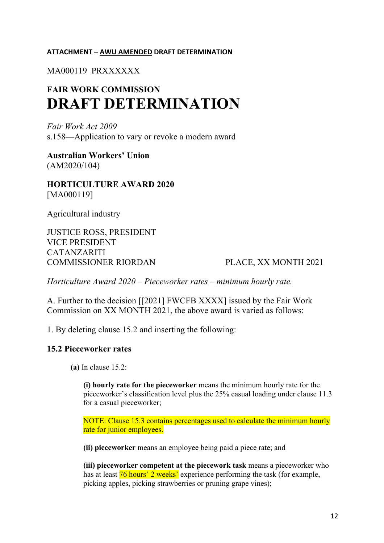### **ATTACHMENT – AWU AMENDED DRAFT DETERMINATION**

MA000119 PRXXXXXX

# **FAIR WORK COMMISSION DRAFT DETERMINATION**

*Fair Work Act 2009* s.158—Application to vary or revoke a modern award

**Australian Workers' Union** (AM2020/104)

**HORTICULTURE AWARD 2020** [MA000119]

Agricultural industry

JUSTICE ROSS, PRESIDENT VICE PRESIDENT **CATANZARITI** COMMISSIONER RIORDAN PLACE, XX MONTH 2021

*Horticulture Award 2020 – Pieceworker rates – minimum hourly rate.*

A. Further to the decision [[2021] FWCFB XXXX] issued by the Fair Work Commission on XX MONTH 2021, the above award is varied as follows:

1. By deleting clause 15.2 and inserting the following:

# **15.2 Pieceworker rates**

**(a)** In clause 15.2:

**(i) hourly rate for the pieceworker** means the minimum hourly rate for the pieceworker's classification level plus the 25% casual loading under clause 11.3 for a casual pieceworker;

NOTE: Clause 15.3 contains percentages used to calculate the minimum hourly rate for junior employees.

**(ii) pieceworker** means an employee being paid a piece rate; and

**(iii) pieceworker competent at the piecework task** means a pieceworker who has at least 76 hours' 2 weeks' experience performing the task (for example, picking apples, picking strawberries or pruning grape vines);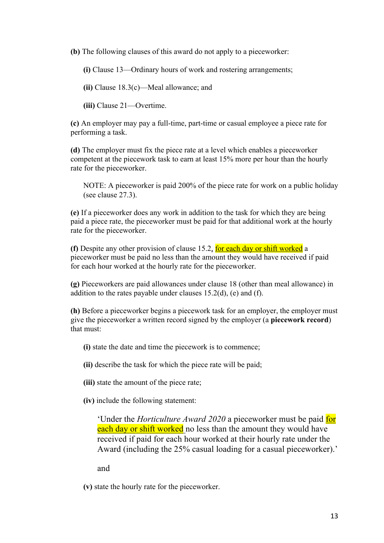**(b)** The following clauses of this award do not apply to a pieceworker:

**(i)** Clause 13—Ordinary hours of work and rostering arrangements;

**(ii)** Clause 18.3(c)—Meal allowance; and

**(iii)** Clause 21—Overtime.

**(c)** An employer may pay a full-time, part-time or casual employee a piece rate for performing a task.

**(d)** The employer must fix the piece rate at a level which enables a pieceworker competent at the piecework task to earn at least 15% more per hour than the hourly rate for the pieceworker.

NOTE: A pieceworker is paid 200% of the piece rate for work on a public holiday (see clause 27.3).

**(e)** If a pieceworker does any work in addition to the task for which they are being paid a piece rate, the pieceworker must be paid for that additional work at the hourly rate for the pieceworker.

**(f)** Despite any other provision of clause 15.2, for each day or shift worked a pieceworker must be paid no less than the amount they would have received if paid for each hour worked at the hourly rate for the pieceworker.

**(g)** Pieceworkers are paid allowances under clause 18 (other than meal allowance) in addition to the rates payable under clauses 15.2(d), (e) and (f).

**(h)** Before a pieceworker begins a piecework task for an employer, the employer must give the pieceworker a written record signed by the employer (a **piecework record**) that must:

**(i)** state the date and time the piecework is to commence;

**(ii)** describe the task for which the piece rate will be paid;

**(iii)** state the amount of the piece rate;

**(iv)** include the following statement:

'Under the *Horticulture Award 2020* a pieceworker must be paid for each day or shift worked no less than the amount they would have received if paid for each hour worked at their hourly rate under the Award (including the 25% casual loading for a casual pieceworker).'

and

**(v)** state the hourly rate for the pieceworker.